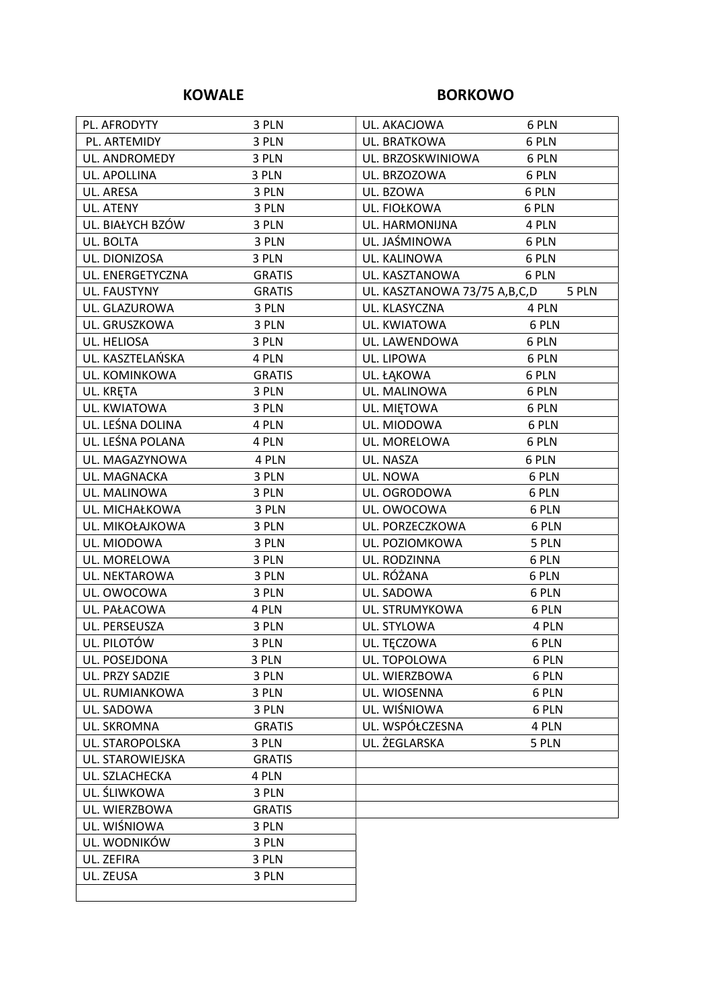### KOWALE BORKOWO

| PL. AFRODYTY     | 3 PLN         | UL. AKACJOWA                 | 6 PLN |
|------------------|---------------|------------------------------|-------|
| PL. ARTEMIDY     | 3 PLN         | UL. BRATKOWA                 | 6 PLN |
| UL. ANDROMEDY    | 3 PLN         | UL. BRZOSKWINIOWA            | 6 PLN |
| UL. APOLLINA     | 3 PLN         | UL. BRZOZOWA                 | 6 PLN |
| UL. ARESA        | 3 PLN         | UL. BZOWA                    | 6 PLN |
| UL. ATENY        | 3 PLN         | UL. FIOŁKOWA                 | 6 PLN |
| UL. BIAŁYCH BZÓW | 3 PLN         | UL. HARMONIJNA               | 4 PLN |
| UL. BOLTA        | 3 PLN         | UL. JAŚMINOWA                | 6 PLN |
| UL. DIONIZOSA    | 3 PLN         | UL. KALINOWA                 | 6 PLN |
| UL. ENERGETYCZNA | <b>GRATIS</b> | UL. KASZTANOWA               | 6 PLN |
| UL. FAUSTYNY     | <b>GRATIS</b> | UL. KASZTANOWA 73/75 A,B,C,D | 5 PLN |
| UL. GLAZUROWA    | 3 PLN         | UL. KLASYCZNA                | 4 PLN |
| UL. GRUSZKOWA    | 3 PLN         | UL. KWIATOWA                 | 6 PLN |
| UL. HELIOSA      | 3 PLN         | UL. LAWENDOWA                | 6 PLN |
| UL. KASZTELAŃSKA | 4 PLN         | UL. LIPOWA                   | 6 PLN |
| UL. KOMINKOWA    | <b>GRATIS</b> | UL. ŁĄKOWA                   | 6 PLN |
| UL. KRĘTA        | 3 PLN         | UL. MALINOWA                 | 6 PLN |
| UL. KWIATOWA     | 3 PLN         | UL. MIĘTOWA                  | 6 PLN |
| UL. LEŚNA DOLINA | 4 PLN         | UL. MIODOWA                  | 6 PLN |
| UL. LEŚNA POLANA | 4 PLN         | UL. MORELOWA                 | 6 PLN |
| UL. MAGAZYNOWA   | 4 PLN         | UL. NASZA                    | 6 PLN |
| UL. MAGNACKA     | 3 PLN         | UL. NOWA                     | 6 PLN |
| UL. MALINOWA     | 3 PLN         | UL. OGRODOWA                 | 6 PLN |
| UL. MICHAŁKOWA   | 3 PLN         | UL. OWOCOWA                  | 6 PLN |
| UL. MIKOŁAJKOWA  | 3 PLN         | UL. PORZECZKOWA              | 6 PLN |
| UL. MIODOWA      | 3 PLN         | UL. POZIOMKOWA               | 5 PLN |
| UL. MORELOWA     | 3 PLN         | UL. RODZINNA                 | 6 PLN |
| UL. NEKTAROWA    | 3 PLN         | UL. RÓŻANA                   | 6 PLN |
| UL. OWOCOWA      | 3 PLN         | UL. SADOWA                   | 6 PLN |
| UL. PAŁACOWA     | 4 PLN         | UL. STRUMYKOWA               | 6 PLN |
| UL. PERSEUSZA    | 3 PLN         | UL. STYLOWA                  | 4 PLN |
| UL. PILOTÓW      | 3 PLN         | UL. TĘCZOWA                  | 6 PLN |
| UL. POSEJDONA    | 3 PLN         | UL. TOPOLOWA                 | 6 PLN |
| UL. PRZY SADZIE  | 3 PLN         | UL. WIERZBOWA                | 6 PLN |
| UL. RUMIANKOWA   | 3 PLN         | UL. WIOSENNA                 | 6 PLN |
| UL. SADOWA       | 3 PLN         | UL. WIŚNIOWA                 | 6 PLN |
| UL. SKROMNA      | <b>GRATIS</b> | UL. WSPÓŁCZESNA              | 4 PLN |
| UL. STAROPOLSKA  | 3 PLN         | UL. ŻEGLARSKA                | 5 PLN |
| UL. STAROWIEJSKA | <b>GRATIS</b> |                              |       |
| UL. SZLACHECKA   | 4 PLN         |                              |       |
| UL. ŚLIWKOWA     | 3 PLN         |                              |       |
| UL. WIERZBOWA    | <b>GRATIS</b> |                              |       |
| UL. WIŚNIOWA     | 3 PLN         |                              |       |
| UL. WODNIKÓW     | 3 PLN         |                              |       |
| UL. ZEFIRA       | 3 PLN         |                              |       |
| UL. ZEUSA        | 3 PLN         |                              |       |
|                  |               |                              |       |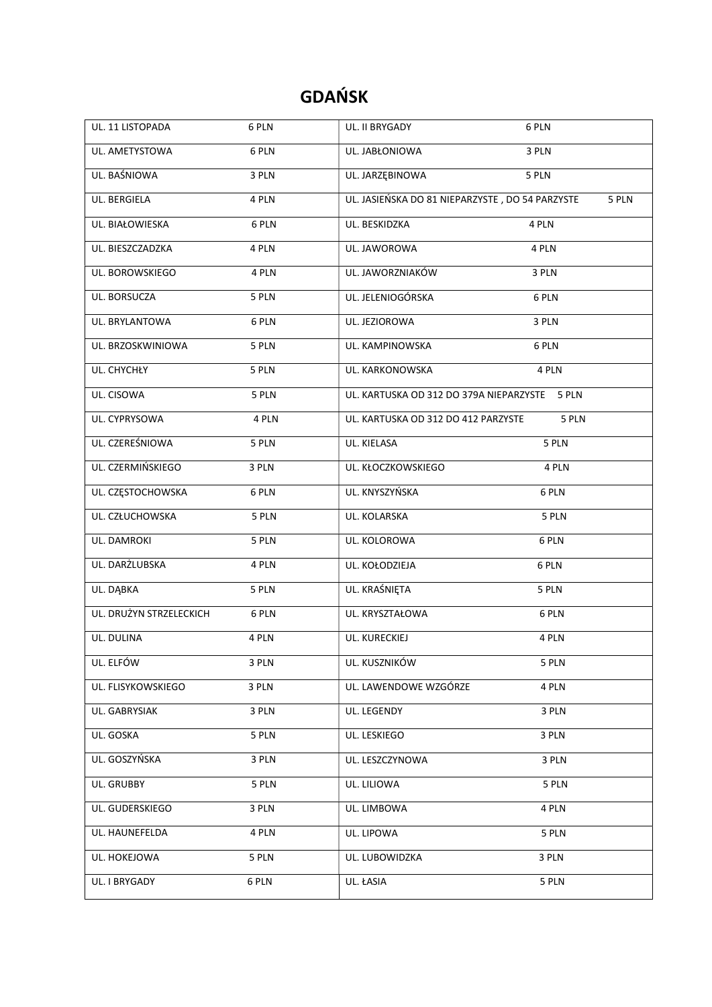# GDAŃSK

| UL. 11 LISTOPADA        | 6 PLN | UL. II BRYGADY                                  | 6 PLN |
|-------------------------|-------|-------------------------------------------------|-------|
| UL. AMETYSTOWA          | 6 PLN | UL. JABŁONIOWA                                  | 3 PLN |
| UL. BAŚNIOWA            | 3 PLN | UL. JARZĘBINOWA                                 | 5 PLN |
| UL. BERGIELA            | 4 PLN | UL. JASIEŃSKA DO 81 NIEPARZYSTE, DO 54 PARZYSTE | 5 PLN |
| UL. BIAŁOWIESKA         | 6 PLN | UL. BESKIDZKA                                   | 4 PLN |
| UL. BIESZCZADZKA        | 4 PLN | UL. JAWOROWA                                    | 4 PLN |
| UL. BOROWSKIEGO         | 4 PLN | UL. JAWORZNIAKÓW                                | 3 PLN |
| UL. BORSUCZA            | 5 PLN | UL. JELENIOGÓRSKA                               | 6 PLN |
| UL. BRYLANTOWA          | 6 PLN | UL. JEZIOROWA                                   | 3 PLN |
| UL. BRZOSKWINIOWA       | 5 PLN | UL. KAMPINOWSKA                                 | 6 PLN |
| UL. CHYCHŁY             | 5 PLN | UL. KARKONOWSKA                                 | 4 PLN |
| UL. CISOWA              | 5 PLN | UL. KARTUSKA OD 312 DO 379A NIEPARZYSTE 5 PLN   |       |
| UL. CYPRYSOWA           | 4 PLN | UL. KARTUSKA OD 312 DO 412 PARZYSTE             | 5 PLN |
| UL. CZEREŚNIOWA         | 5 PLN | UL. KIELASA                                     | 5 PLN |
| UL. CZERMIŃSKIEGO       | 3 PLN | UL. KŁOCZKOWSKIEGO                              | 4 PLN |
| UL. CZĘSTOCHOWSKA       | 6 PLN | UL. KNYSZYŃSKA                                  | 6 PLN |
| UL. CZŁUCHOWSKA         | 5 PLN | UL. KOLARSKA                                    | 5 PLN |
| UL. DAMROKI             | 5 PLN | UL. KOLOROWA                                    | 6 PLN |
| UL. DARŻLUBSKA          | 4 PLN | UL. KOŁODZIEJA                                  | 6 PLN |
| UL. DĄBKA               | 5 PLN | UL. KRAŚNIĘTA                                   | 5 PLN |
| UL. DRUŻYN STRZELECKICH | 6 PLN | UL. KRYSZTAŁOWA                                 | 6 PLN |
| UL. DULINA              | 4 PLN | UL. KURECKIEJ                                   | 4 PLN |
| UL. ELFÓW               | 3 PLN | UL. KUSZNIKÓW                                   | 5 PLN |
| UL. FLISYKOWSKIEGO      | 3 PLN | UL. LAWENDOWE WZGÓRZE                           | 4 PLN |
| UL. GABRYSIAK           | 3 PLN | UL. LEGENDY                                     | 3 PLN |
| UL. GOSKA               | 5 PLN | UL. LESKIEGO                                    | 3 PLN |
| UL. GOSZYŃSKA           | 3 PLN | UL. LESZCZYNOWA                                 | 3 PLN |
| UL. GRUBBY              | 5 PLN | UL. LILIOWA                                     | 5 PLN |
| UL. GUDERSKIEGO         | 3 PLN | UL. LIMBOWA                                     | 4 PLN |
| UL. HAUNEFELDA          | 4 PLN | UL. LIPOWA                                      | 5 PLN |
| UL. HOKEJOWA            | 5 PLN | UL. LUBOWIDZKA                                  | 3 PLN |
| UL. I BRYGADY           | 6 PLN | UL. ŁASIA                                       | 5 PLN |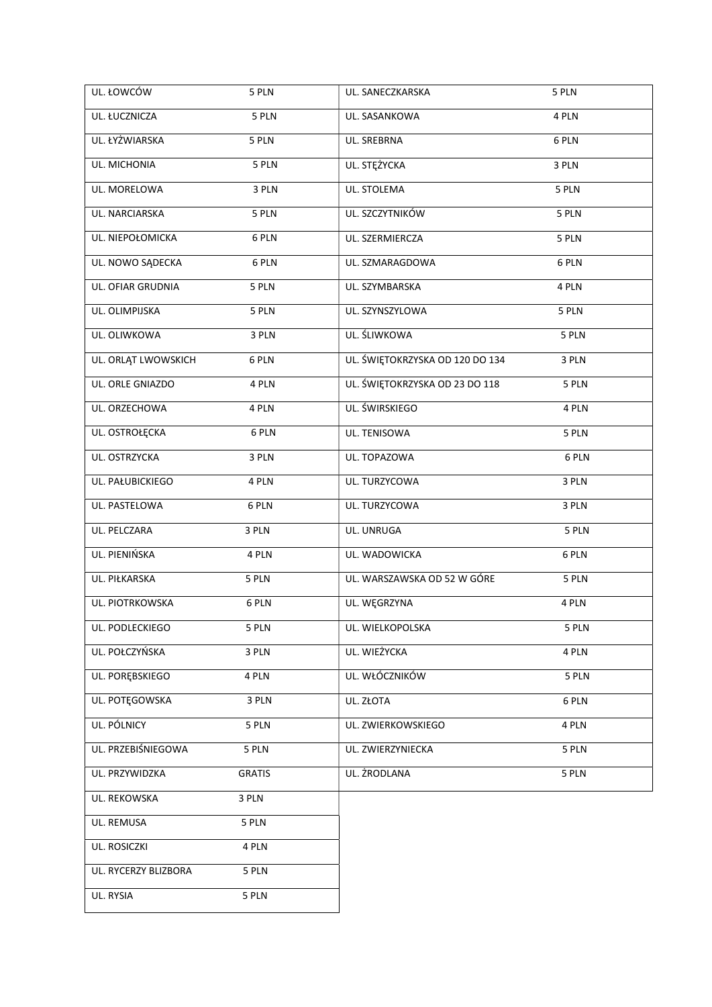| UL. ŁOWCÓW           | 5 PLN         | UL. SANECZKARSKA                | 5 PLN |
|----------------------|---------------|---------------------------------|-------|
| UL. ŁUCZNICZA        | 5 PLN         | UL. SASANKOWA                   | 4 PLN |
| UL. ŁYŻWIARSKA       | 5 PLN         | UL. SREBRNA                     | 6 PLN |
| UL. MICHONIA         | 5 PLN         | UL. STĘŻYCKA                    | 3 PLN |
| UL. MORELOWA         | 3 PLN         | UL. STOLEMA                     | 5 PLN |
| UL. NARCIARSKA       | 5 PLN         | UL. SZCZYTNIKÓW                 | 5 PLN |
| UL. NIEPOŁOMICKA     | 6 PLN         | UL. SZERMIERCZA                 | 5 PLN |
| UL. NOWO SĄDECKA     | 6 PLN         | UL. SZMARAGDOWA                 | 6 PLN |
| UL. OFIAR GRUDNIA    | 5 PLN         | UL. SZYMBARSKA                  | 4 PLN |
| UL. OLIMPIJSKA       | 5 PLN         | UL. SZYNSZYLOWA                 | 5 PLN |
| UL. OLIWKOWA         | 3 PLN         | UL. ŚLIWKOWA                    | 5 PLN |
| UL. ORLĄT LWOWSKICH  | 6 PLN         | UL. ŚWIĘTOKRZYSKA OD 120 DO 134 | 3 PLN |
| UL. ORLE GNIAZDO     | 4 PLN         | UL. ŚWIĘTOKRZYSKA OD 23 DO 118  | 5 PLN |
| UL. ORZECHOWA        | 4 PLN         | UL. ŚWIRSKIEGO                  | 4 PLN |
| UL. OSTROŁĘCKA       | 6 PLN         | UL. TENISOWA                    | 5 PLN |
| UL. OSTRZYCKA        | 3 PLN         | UL. TOPAZOWA                    | 6 PLN |
| UL. PAŁUBICKIEGO     | 4 PLN         | UL. TURZYCOWA                   | 3 PLN |
| UL. PASTELOWA        | 6 PLN         | UL. TURZYCOWA                   | 3 PLN |
| UL. PELCZARA         | 3 PLN         | UL. UNRUGA                      | 5 PLN |
| UL. PIENIŃSKA        | 4 PLN         | UL. WADOWICKA                   | 6 PLN |
| UL. PIŁKARSKA        | 5 PLN         | UL. WARSZAWSKA OD 52 W GÓRE     | 5 PLN |
| UL. PIOTRKOWSKA      | 6 PLN         | UL. WĘGRZYNA                    | 4 PLN |
| UL. PODLECKIEGO      | 5 PLN         | UL. WIELKOPOLSKA                | 5 PLN |
| UL. POŁCZYŃSKA       | 3 PLN         | UL. WIEŻYCKA                    | 4 PLN |
| UL. PORĘBSKIEGO      | 4 PLN         | UL. WŁÓCZNIKÓW                  | 5 PLN |
| UL. POTĘGOWSKA       | 3 PLN         | UL. ZŁOTA                       | 6 PLN |
| UL. PÓLNICY          | 5 PLN         | UL. ZWIERKOWSKIEGO              | 4 PLN |
| UL. PRZEBIŚNIEGOWA   | 5 PLN         | UL. ZWIERZYNIECKA               | 5 PLN |
| UL. PRZYWIDZKA       | <b>GRATIS</b> | UL. ŻRODLANA                    | 5 PLN |
| UL. REKOWSKA         | 3 PLN         |                                 |       |
| UL. REMUSA           | 5 PLN         |                                 |       |
| UL. ROSICZKI         | 4 PLN         |                                 |       |
| UL. RYCERZY BLIZBORA | 5 PLN         |                                 |       |
| UL. RYSIA            | 5 PLN         |                                 |       |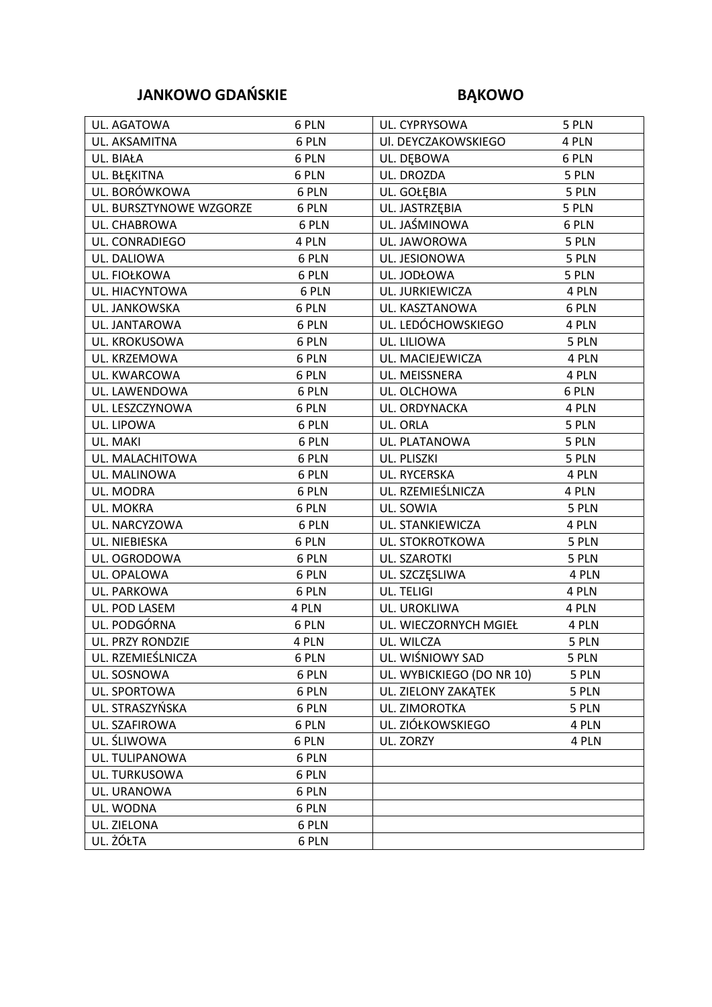## JANKOWO GDAŃSKIE BĄKOWO

| UL. AGATOWA             | 6 PLN | UL. CYPRYSOWA             | 5 PLN |
|-------------------------|-------|---------------------------|-------|
| UL. AKSAMITNA           | 6 PLN | UI. DEYCZAKOWSKIEGO       | 4 PLN |
| UL. BIAŁA               | 6 PLN | UL. DEBOWA                | 6 PLN |
| UL. BŁĘKITNA            | 6 PLN | UL. DROZDA                | 5 PLN |
| UL. BORÓWKOWA           | 6 PLN | UL. GOŁĘBIA               | 5 PLN |
| UL. BURSZTYNOWE WZGORZE | 6 PLN | UL. JASTRZĘBIA            | 5 PLN |
| UL. CHABROWA            | 6 PLN | UL. JAŚMINOWA             | 6 PLN |
| UL. CONRADIEGO          | 4 PLN | UL. JAWOROWA              | 5 PLN |
| UL. DALIOWA             | 6 PLN | UL. JESIONOWA             | 5 PLN |
| UL. FIOŁKOWA            | 6 PLN | UL. JODŁOWA               | 5 PLN |
| UL. HIACYNTOWA          | 6 PLN | UL. JURKIEWICZA           | 4 PLN |
| UL. JANKOWSKA           | 6 PLN | UL. KASZTANOWA            | 6 PLN |
| UL. JANTAROWA           | 6 PLN | UL. LEDÓCHOWSKIEGO        | 4 PLN |
| UL. KROKUSOWA           | 6 PLN | UL. LILIOWA               | 5 PLN |
| UL. KRZEMOWA            | 6 PLN | UL. MACIEJEWICZA          | 4 PLN |
| UL. KWARCOWA            | 6 PLN | UL. MEISSNERA             | 4 PLN |
| UL. LAWENDOWA           | 6 PLN | UL. OLCHOWA               | 6 PLN |
| UL. LESZCZYNOWA         | 6 PLN | UL. ORDYNACKA             | 4 PLN |
| UL. LIPOWA              | 6 PLN | UL. ORLA                  | 5 PLN |
| UL. MAKI                | 6 PLN | UL. PLATANOWA             | 5 PLN |
| UL. MALACHITOWA         | 6 PLN | UL. PLISZKI               | 5 PLN |
| UL. MALINOWA            | 6 PLN | UL. RYCERSKA              | 4 PLN |
| UL. MODRA               | 6 PLN | UL. RZEMIEŚLNICZA         | 4 PLN |
| UL. MOKRA               | 6 PLN | UL. SOWIA                 | 5 PLN |
| UL. NARCYZOWA           | 6 PLN | UL. STANKIEWICZA          | 4 PLN |
| UL. NIEBIESKA           | 6 PLN | UL. STOKROTKOWA           | 5 PLN |
| UL. OGRODOWA            | 6 PLN | UL. SZAROTKI              | 5 PLN |
| UL. OPALOWA             | 6 PLN | UL. SZCZĘSLIWA            | 4 PLN |
| UL. PARKOWA             | 6 PLN | UL. TELIGI                | 4 PLN |
| UL. POD LASEM           | 4 PLN | UL. UROKLIWA              | 4 PLN |
| UL. PODGÓRNA            | 6 PLN | UL. WIECZORNYCH MGIEŁ     | 4 PLN |
| UL. PRZY RONDZIE        | 4 PLN | UL. WILCZA                | 5 PLN |
| UL. RZEMIEŚLNICZA       | 6 PLN | UL. WIŚNIOWY SAD          | 5 PLN |
| UL. SOSNOWA             | 6 PLN | UL. WYBICKIEGO (DO NR 10) | 5 PLN |
| UL. SPORTOWA            | 6 PLN | UL. ZIELONY ZAKĄTEK       | 5 PLN |
| UL. STRASZYŃSKA         | 6 PLN | UL. ZIMOROTKA             | 5 PLN |
| UL. SZAFIROWA           | 6 PLN | UL. ZIÓŁKOWSKIEGO         | 4 PLN |
| UL. ŚLIWOWA             | 6 PLN | UL. ZORZY                 | 4 PLN |
| UL. TULIPANOWA          | 6 PLN |                           |       |
| UL. TURKUSOWA           | 6 PLN |                           |       |
| UL. URANOWA             | 6 PLN |                           |       |
| UL. WODNA               | 6 PLN |                           |       |
| UL. ZIELONA             | 6 PLN |                           |       |
| UL. ŻÓŁTA               | 6 PLN |                           |       |
|                         |       |                           |       |